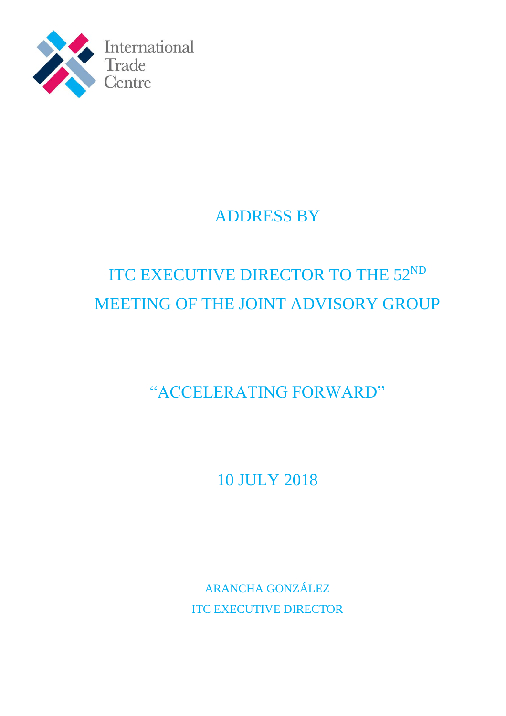

# ADDRESS BY

# ITC EXECUTIVE DIRECTOR TO THE 52ND MEETING OF THE JOINT ADVISORY GROUP

"ACCELERATING FORWARD"

10 JULY 2018

ARANCHA GONZÁLEZ ITC EXECUTIVE DIRECTOR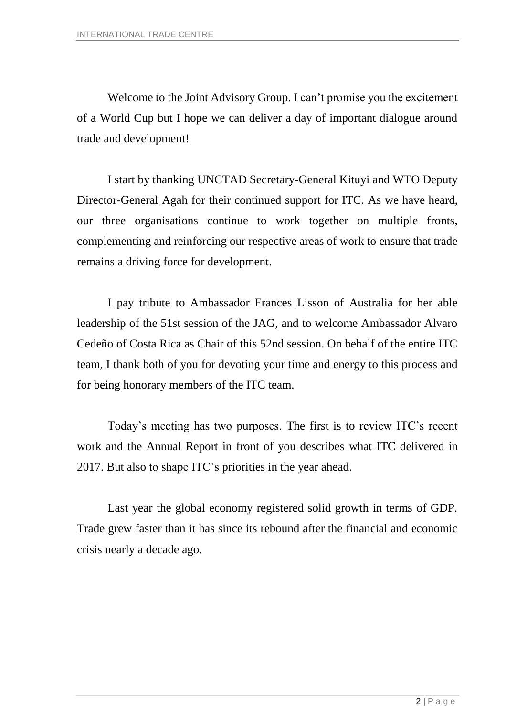Welcome to the Joint Advisory Group. I can't promise you the excitement of a World Cup but I hope we can deliver a day of important dialogue around trade and development!

I start by thanking UNCTAD Secretary-General Kituyi and WTO Deputy Director-General Agah for their continued support for ITC. As we have heard, our three organisations continue to work together on multiple fronts, complementing and reinforcing our respective areas of work to ensure that trade remains a driving force for development.

I pay tribute to Ambassador Frances Lisson of Australia for her able leadership of the 51st session of the JAG, and to welcome Ambassador Alvaro Cedeño of Costa Rica as Chair of this 52nd session. On behalf of the entire ITC team, I thank both of you for devoting your time and energy to this process and for being honorary members of the ITC team.

Today's meeting has two purposes. The first is to review ITC's recent work and the Annual Report in front of you describes what ITC delivered in 2017. But also to shape ITC's priorities in the year ahead.

Last year the global economy registered solid growth in terms of GDP. Trade grew faster than it has since its rebound after the financial and economic crisis nearly a decade ago.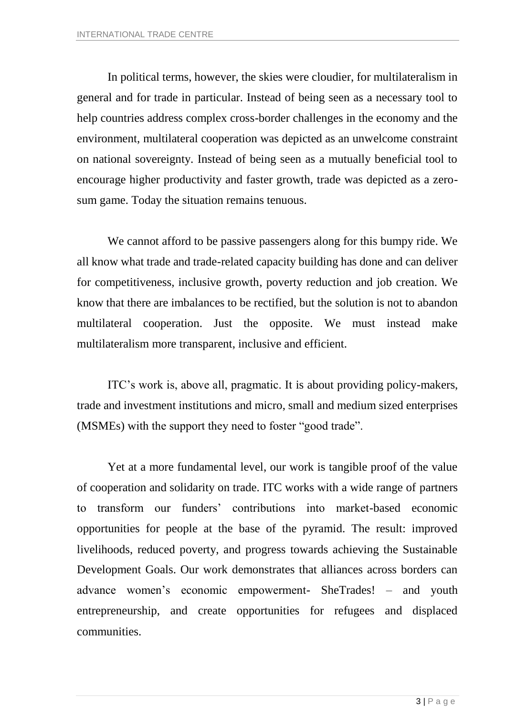In political terms, however, the skies were cloudier, for multilateralism in general and for trade in particular. Instead of being seen as a necessary tool to help countries address complex cross-border challenges in the economy and the environment, multilateral cooperation was depicted as an unwelcome constraint on national sovereignty. Instead of being seen as a mutually beneficial tool to encourage higher productivity and faster growth, trade was depicted as a zerosum game. Today the situation remains tenuous.

We cannot afford to be passive passengers along for this bumpy ride. We all know what trade and trade-related capacity building has done and can deliver for competitiveness, inclusive growth, poverty reduction and job creation. We know that there are imbalances to be rectified, but the solution is not to abandon multilateral cooperation. Just the opposite. We must instead make multilateralism more transparent, inclusive and efficient.

ITC's work is, above all, pragmatic. It is about providing policy-makers, trade and investment institutions and micro, small and medium sized enterprises (MSMEs) with the support they need to foster "good trade".

Yet at a more fundamental level, our work is tangible proof of the value of cooperation and solidarity on trade. ITC works with a wide range of partners to transform our funders' contributions into market-based economic opportunities for people at the base of the pyramid. The result: improved livelihoods, reduced poverty, and progress towards achieving the Sustainable Development Goals. Our work demonstrates that alliances across borders can advance women's economic empowerment- SheTrades! – and youth entrepreneurship, and create opportunities for refugees and displaced communities.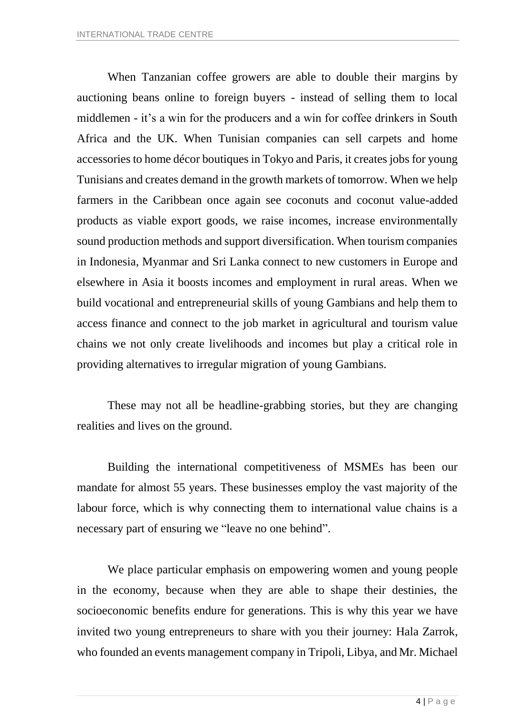When Tanzanian coffee growers are able to double their margins by auctioning beans online to foreign buyers - instead of selling them to local middlemen - it's a win for the producers and a win for coffee drinkers in South Africa and the UK. When Tunisian companies can sell carpets and home accessories to home décor boutiques in Tokyo and Paris, it creates jobs for young Tunisians and creates demand in the growth markets of tomorrow. When we help farmers in the Caribbean once again see coconuts and coconut value-added products as viable export goods, we raise incomes, increase environmentally sound production methods and support diversification. When tourism companies in Indonesia, Myanmar and Sri Lanka connect to new customers in Europe and elsewhere in Asia it boosts incomes and employment in rural areas. When we build vocational and entrepreneurial skills of young Gambians and help them to access finance and connect to the job market in agricultural and tourism value chains we not only create livelihoods and incomes but play a critical role in providing alternatives to irregular migration of young Gambians.

These may not all be headline-grabbing stories, but they are changing realities and lives on the ground.

Building the international competitiveness of MSMEs has been our mandate for almost 55 years. These businesses employ the vast majority of the labour force, which is why connecting them to international value chains is a necessary part of ensuring we "leave no one behind".

We place particular emphasis on empowering women and young people in the economy, because when they are able to shape their destinies, the socioeconomic benefits endure for generations. This is why this year we have invited two young entrepreneurs to share with you their journey: Hala Zarrok, who founded an events management company in Tripoli, Libya, and Mr. Michael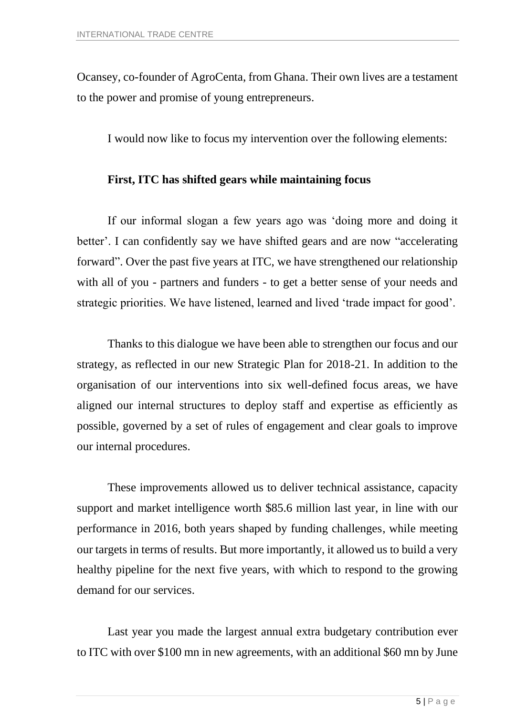Ocansey, co-founder of AgroCenta, from Ghana. Their own lives are a testament to the power and promise of young entrepreneurs.

I would now like to focus my intervention over the following elements:

## **First, ITC has shifted gears while maintaining focus**

If our informal slogan a few years ago was 'doing more and doing it better'. I can confidently say we have shifted gears and are now "accelerating forward". Over the past five years at ITC, we have strengthened our relationship with all of you - partners and funders - to get a better sense of your needs and strategic priorities. We have listened, learned and lived 'trade impact for good'.

Thanks to this dialogue we have been able to strengthen our focus and our strategy, as reflected in our new Strategic Plan for 2018-21. In addition to the organisation of our interventions into six well-defined focus areas, we have aligned our internal structures to deploy staff and expertise as efficiently as possible, governed by a set of rules of engagement and clear goals to improve our internal procedures.

These improvements allowed us to deliver technical assistance, capacity support and market intelligence worth \$85.6 million last year, in line with our performance in 2016, both years shaped by funding challenges, while meeting our targets in terms of results. But more importantly, it allowed us to build a very healthy pipeline for the next five years, with which to respond to the growing demand for our services.

Last year you made the largest annual extra budgetary contribution ever to ITC with over \$100 mn in new agreements, with an additional \$60 mn by June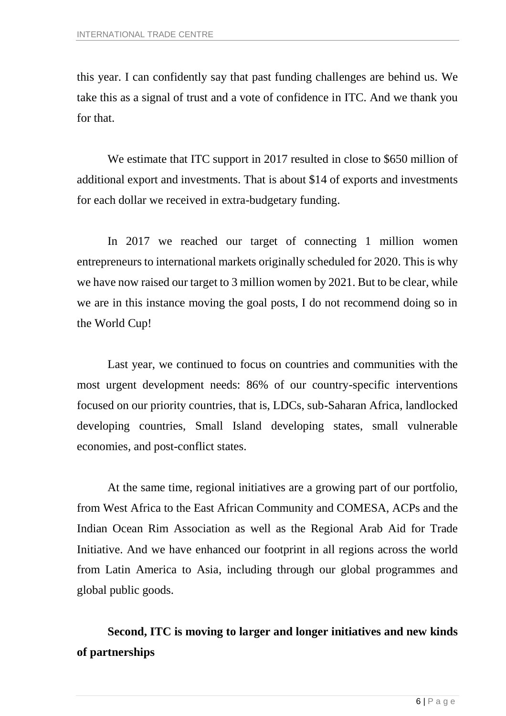this year. I can confidently say that past funding challenges are behind us. We take this as a signal of trust and a vote of confidence in ITC. And we thank you for that.

We estimate that ITC support in 2017 resulted in close to \$650 million of additional export and investments. That is about \$14 of exports and investments for each dollar we received in extra-budgetary funding.

In 2017 we reached our target of connecting 1 million women entrepreneurs to international markets originally scheduled for 2020. This is why we have now raised our target to 3 million women by 2021. But to be clear, while we are in this instance moving the goal posts, I do not recommend doing so in the World Cup!

Last year, we continued to focus on countries and communities with the most urgent development needs: 86% of our country-specific interventions focused on our priority countries, that is, LDCs, sub-Saharan Africa, landlocked developing countries, Small Island developing states, small vulnerable economies, and post-conflict states.

At the same time, regional initiatives are a growing part of our portfolio, from West Africa to the East African Community and COMESA, ACPs and the Indian Ocean Rim Association as well as the Regional Arab Aid for Trade Initiative. And we have enhanced our footprint in all regions across the world from Latin America to Asia, including through our global programmes and global public goods.

**Second, ITC is moving to larger and longer initiatives and new kinds of partnerships**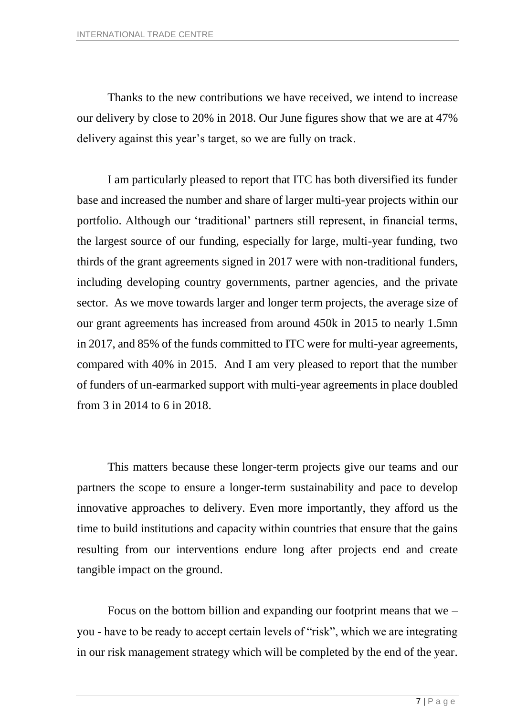Thanks to the new contributions we have received, we intend to increase our delivery by close to 20% in 2018. Our June figures show that we are at 47% delivery against this year's target, so we are fully on track.

I am particularly pleased to report that ITC has both diversified its funder base and increased the number and share of larger multi-year projects within our portfolio. Although our 'traditional' partners still represent, in financial terms, the largest source of our funding, especially for large, multi-year funding, two thirds of the grant agreements signed in 2017 were with non-traditional funders, including developing country governments, partner agencies, and the private sector. As we move towards larger and longer term projects, the average size of our grant agreements has increased from around 450k in 2015 to nearly 1.5mn in 2017, and 85% of the funds committed to ITC were for multi-year agreements, compared with 40% in 2015. And I am very pleased to report that the number of funders of un-earmarked support with multi-year agreements in place doubled from 3 in 2014 to 6 in 2018.

This matters because these longer-term projects give our teams and our partners the scope to ensure a longer-term sustainability and pace to develop innovative approaches to delivery. Even more importantly, they afford us the time to build institutions and capacity within countries that ensure that the gains resulting from our interventions endure long after projects end and create tangible impact on the ground.

Focus on the bottom billion and expanding our footprint means that we  $$ you - have to be ready to accept certain levels of "risk", which we are integrating in our risk management strategy which will be completed by the end of the year.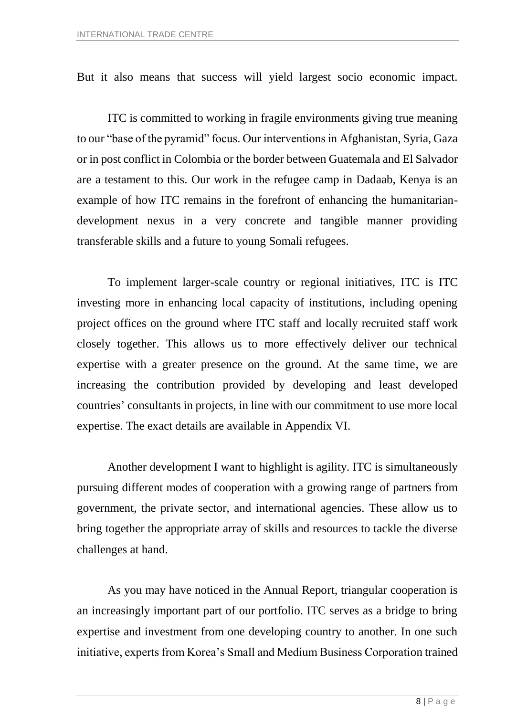But it also means that success will yield largest socio economic impact.

ITC is committed to working in fragile environments giving true meaning to our "base of the pyramid" focus. Our interventions in Afghanistan, Syria, Gaza or in post conflict in Colombia or the border between Guatemala and El Salvador are a testament to this. Our work in the refugee camp in Dadaab, Kenya is an example of how ITC remains in the forefront of enhancing the humanitariandevelopment nexus in a very concrete and tangible manner providing transferable skills and a future to young Somali refugees.

To implement larger-scale country or regional initiatives, ITC is ITC investing more in enhancing local capacity of institutions, including opening project offices on the ground where ITC staff and locally recruited staff work closely together. This allows us to more effectively deliver our technical expertise with a greater presence on the ground. At the same time, we are increasing the contribution provided by developing and least developed countries' consultants in projects, in line with our commitment to use more local expertise. The exact details are available in Appendix VI.

Another development I want to highlight is agility. ITC is simultaneously pursuing different modes of cooperation with a growing range of partners from government, the private sector, and international agencies. These allow us to bring together the appropriate array of skills and resources to tackle the diverse challenges at hand.

As you may have noticed in the Annual Report, triangular cooperation is an increasingly important part of our portfolio. ITC serves as a bridge to bring expertise and investment from one developing country to another. In one such initiative, experts from Korea's Small and Medium Business Corporation trained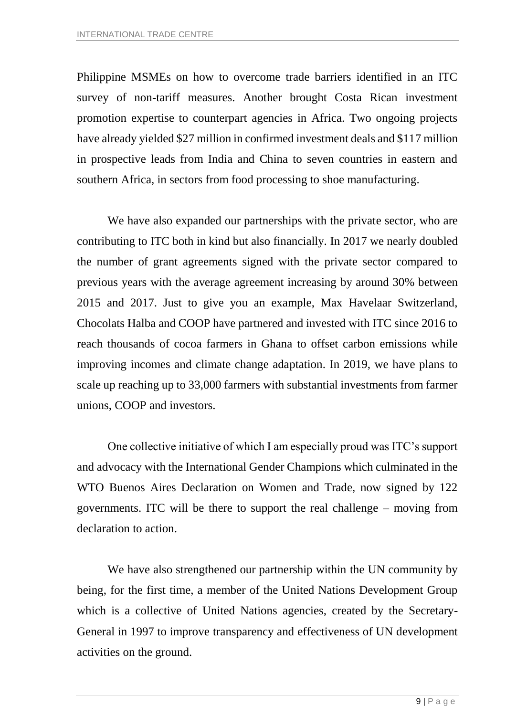Philippine MSMEs on how to overcome trade barriers identified in an ITC survey of non-tariff measures. Another brought Costa Rican investment promotion expertise to counterpart agencies in Africa. Two ongoing projects have already yielded \$27 million in confirmed investment deals and \$117 million in prospective leads from India and China to seven countries in eastern and southern Africa, in sectors from food processing to shoe manufacturing.

We have also expanded our partnerships with the private sector, who are contributing to ITC both in kind but also financially. In 2017 we nearly doubled the number of grant agreements signed with the private sector compared to previous years with the average agreement increasing by around 30% between 2015 and 2017. Just to give you an example, Max Havelaar Switzerland, Chocolats Halba and COOP have partnered and invested with ITC since 2016 to reach thousands of cocoa farmers in Ghana to offset carbon emissions while improving incomes and climate change adaptation. In 2019, we have plans to scale up reaching up to 33,000 farmers with substantial investments from farmer unions, COOP and investors.

One collective initiative of which I am especially proud was ITC's support and advocacy with the International Gender Champions which culminated in the WTO Buenos Aires Declaration on Women and Trade, now signed by 122 governments. ITC will be there to support the real challenge – moving from declaration to action.

We have also strengthened our partnership within the UN community by being, for the first time, a member of the United Nations Development Group which is a collective of United Nations agencies, created by the Secretary-General in 1997 to improve transparency and effectiveness of UN development activities on the ground.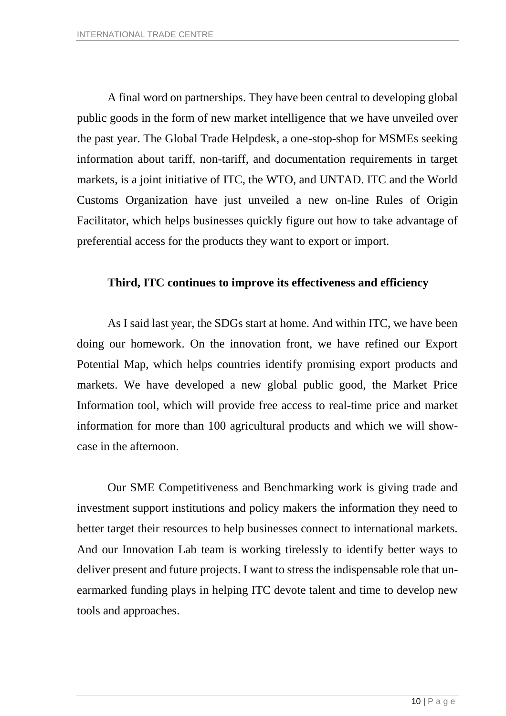A final word on partnerships. They have been central to developing global public goods in the form of new market intelligence that we have unveiled over the past year. The Global Trade Helpdesk, a one-stop-shop for MSMEs seeking information about tariff, non-tariff, and documentation requirements in target markets, is a joint initiative of ITC, the WTO, and UNTAD. ITC and the World Customs Organization have just unveiled a new on-line Rules of Origin Facilitator, which helps businesses quickly figure out how to take advantage of preferential access for the products they want to export or import.

### **Third, ITC continues to improve its effectiveness and efficiency**

As I said last year, the SDGs start at home. And within ITC, we have been doing our homework. On the innovation front, we have refined our Export Potential Map, which helps countries identify promising export products and markets. We have developed a new global public good, the Market Price Information tool, which will provide free access to real-time price and market information for more than 100 agricultural products and which we will showcase in the afternoon.

Our SME Competitiveness and Benchmarking work is giving trade and investment support institutions and policy makers the information they need to better target their resources to help businesses connect to international markets. And our Innovation Lab team is working tirelessly to identify better ways to deliver present and future projects. I want to stress the indispensable role that unearmarked funding plays in helping ITC devote talent and time to develop new tools and approaches.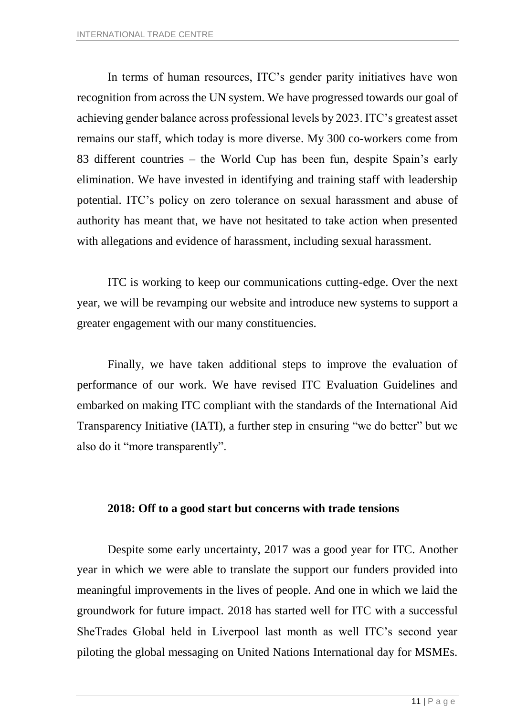In terms of human resources, ITC's gender parity initiatives have won recognition from across the UN system. We have progressed towards our goal of achieving gender balance across professional levels by 2023. ITC's greatest asset remains our staff, which today is more diverse. My 300 co-workers come from 83 different countries – the World Cup has been fun, despite Spain's early elimination. We have invested in identifying and training staff with leadership potential. ITC's policy on zero tolerance on sexual harassment and abuse of authority has meant that, we have not hesitated to take action when presented with allegations and evidence of harassment, including sexual harassment.

ITC is working to keep our communications cutting-edge. Over the next year, we will be revamping our website and introduce new systems to support a greater engagement with our many constituencies.

Finally, we have taken additional steps to improve the evaluation of performance of our work. We have revised ITC Evaluation Guidelines and embarked on making ITC compliant with the standards of the International Aid Transparency Initiative (IATI), a further step in ensuring "we do better" but we also do it "more transparently".

### **2018: Off to a good start but concerns with trade tensions**

Despite some early uncertainty, 2017 was a good year for ITC. Another year in which we were able to translate the support our funders provided into meaningful improvements in the lives of people. And one in which we laid the groundwork for future impact. 2018 has started well for ITC with a successful SheTrades Global held in Liverpool last month as well ITC's second year piloting the global messaging on United Nations International day for MSMEs.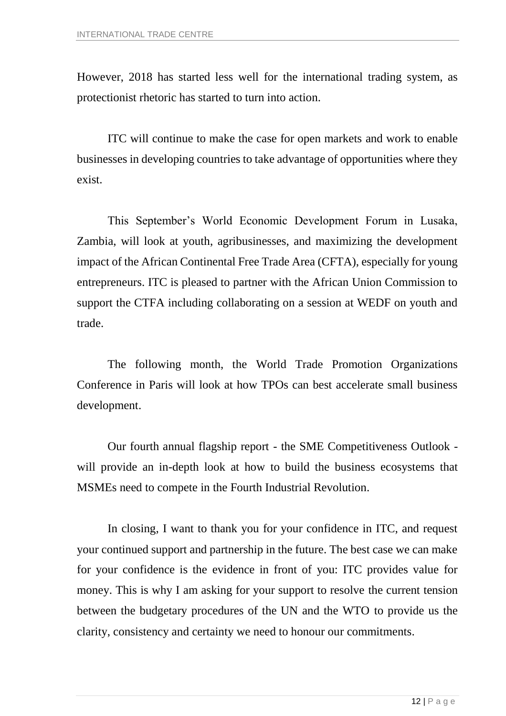However, 2018 has started less well for the international trading system, as protectionist rhetoric has started to turn into action.

ITC will continue to make the case for open markets and work to enable businesses in developing countries to take advantage of opportunities where they exist.

This September's World Economic Development Forum in Lusaka, Zambia, will look at youth, agribusinesses, and maximizing the development impact of the African Continental Free Trade Area (CFTA), especially for young entrepreneurs. ITC is pleased to partner with the African Union Commission to support the CTFA including collaborating on a session at WEDF on youth and trade.

The following month, the World Trade Promotion Organizations Conference in Paris will look at how TPOs can best accelerate small business development.

Our fourth annual flagship report - the SME Competitiveness Outlook will provide an in-depth look at how to build the business ecosystems that MSMEs need to compete in the Fourth Industrial Revolution.

In closing, I want to thank you for your confidence in ITC, and request your continued support and partnership in the future. The best case we can make for your confidence is the evidence in front of you: ITC provides value for money. This is why I am asking for your support to resolve the current tension between the budgetary procedures of the UN and the WTO to provide us the clarity, consistency and certainty we need to honour our commitments.